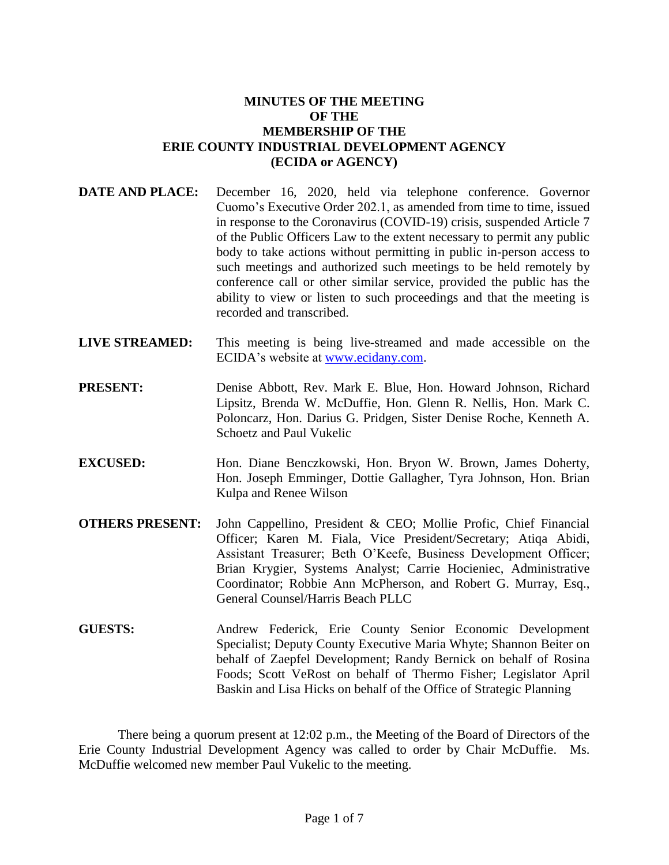# **MINUTES OF THE MEETING OF THE MEMBERSHIP OF THE ERIE COUNTY INDUSTRIAL DEVELOPMENT AGENCY (ECIDA or AGENCY)**

- **DATE AND PLACE:** December 16, 2020, held via telephone conference. Governor Cuomo's Executive Order 202.1, as amended from time to time, issued in response to the Coronavirus (COVID-19) crisis, suspended Article 7 of the Public Officers Law to the extent necessary to permit any public body to take actions without permitting in public in-person access to such meetings and authorized such meetings to be held remotely by conference call or other similar service, provided the public has the ability to view or listen to such proceedings and that the meeting is recorded and transcribed.
- **LIVE STREAMED:** This meeting is being live-streamed and made accessible on the ECIDA's website at [www.ecidany.com.](http://www.ecidany.com/)
- **PRESENT:** Denise Abbott, Rev. Mark E. Blue, Hon. Howard Johnson, Richard Lipsitz, Brenda W. McDuffie, Hon. Glenn R. Nellis, Hon. Mark C. Poloncarz, Hon. Darius G. Pridgen, Sister Denise Roche, Kenneth A. Schoetz and Paul Vukelic
- **EXCUSED:** Hon. Diane Benczkowski, Hon. Bryon W. Brown, James Doherty, Hon. Joseph Emminger, Dottie Gallagher, Tyra Johnson, Hon. Brian Kulpa and Renee Wilson
- **OTHERS PRESENT:** John Cappellino, President & CEO; Mollie Profic, Chief Financial Officer; Karen M. Fiala, Vice President/Secretary; Atiqa Abidi, Assistant Treasurer; Beth O'Keefe, Business Development Officer; Brian Krygier, Systems Analyst; Carrie Hocieniec, Administrative Coordinator; Robbie Ann McPherson, and Robert G. Murray, Esq., General Counsel/Harris Beach PLLC
- **GUESTS:** Andrew Federick, Erie County Senior Economic Development Specialist; Deputy County Executive Maria Whyte; Shannon Beiter on behalf of Zaepfel Development; Randy Bernick on behalf of Rosina Foods; Scott VeRost on behalf of Thermo Fisher; Legislator April Baskin and Lisa Hicks on behalf of the Office of Strategic Planning

There being a quorum present at 12:02 p.m., the Meeting of the Board of Directors of the Erie County Industrial Development Agency was called to order by Chair McDuffie. Ms. McDuffie welcomed new member Paul Vukelic to the meeting.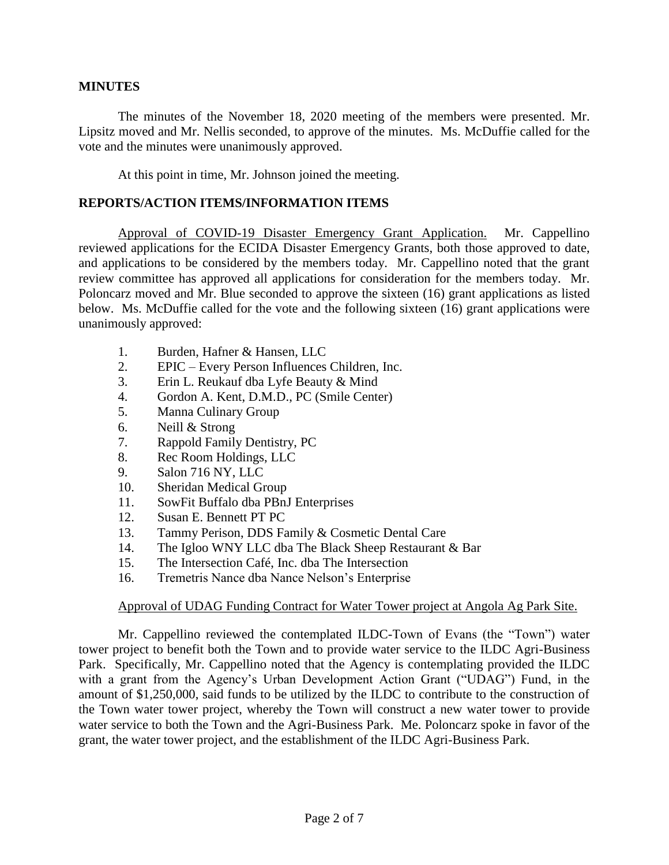### **MINUTES**

The minutes of the November 18, 2020 meeting of the members were presented. Mr. Lipsitz moved and Mr. Nellis seconded, to approve of the minutes. Ms. McDuffie called for the vote and the minutes were unanimously approved.

At this point in time, Mr. Johnson joined the meeting.

### **REPORTS/ACTION ITEMS/INFORMATION ITEMS**

Approval of COVID-19 Disaster Emergency Grant Application. Mr. Cappellino reviewed applications for the ECIDA Disaster Emergency Grants, both those approved to date, and applications to be considered by the members today. Mr. Cappellino noted that the grant review committee has approved all applications for consideration for the members today. Mr. Poloncarz moved and Mr. Blue seconded to approve the sixteen (16) grant applications as listed below. Ms. McDuffie called for the vote and the following sixteen (16) grant applications were unanimously approved:

- 1. Burden, Hafner & Hansen, LLC
- 2. EPIC Every Person Influences Children, Inc.
- 3. Erin L. Reukauf dba Lyfe Beauty & Mind
- 4. Gordon A. Kent, D.M.D., PC (Smile Center)
- 5. Manna Culinary Group
- 6. Neill & Strong
- 7. Rappold Family Dentistry, PC
- 8. Rec Room Holdings, LLC
- 9. Salon 716 NY, LLC
- 10. Sheridan Medical Group
- 11. SowFit Buffalo dba PBnJ Enterprises
- 12. Susan E. Bennett PT PC
- 13. Tammy Perison, DDS Family & Cosmetic Dental Care
- 14. The Igloo WNY LLC dba The Black Sheep Restaurant & Bar
- 15. The Intersection Café, Inc. dba The Intersection
- 16. Tremetris Nance dba Nance Nelson's Enterprise

### Approval of UDAG Funding Contract for Water Tower project at Angola Ag Park Site.

Mr. Cappellino reviewed the contemplated ILDC-Town of Evans (the "Town") water tower project to benefit both the Town and to provide water service to the ILDC Agri-Business Park. Specifically, Mr. Cappellino noted that the Agency is contemplating provided the ILDC with a grant from the Agency's Urban Development Action Grant ("UDAG") Fund, in the amount of \$1,250,000, said funds to be utilized by the ILDC to contribute to the construction of the Town water tower project, whereby the Town will construct a new water tower to provide water service to both the Town and the Agri-Business Park. Me. Poloncarz spoke in favor of the grant, the water tower project, and the establishment of the ILDC Agri-Business Park.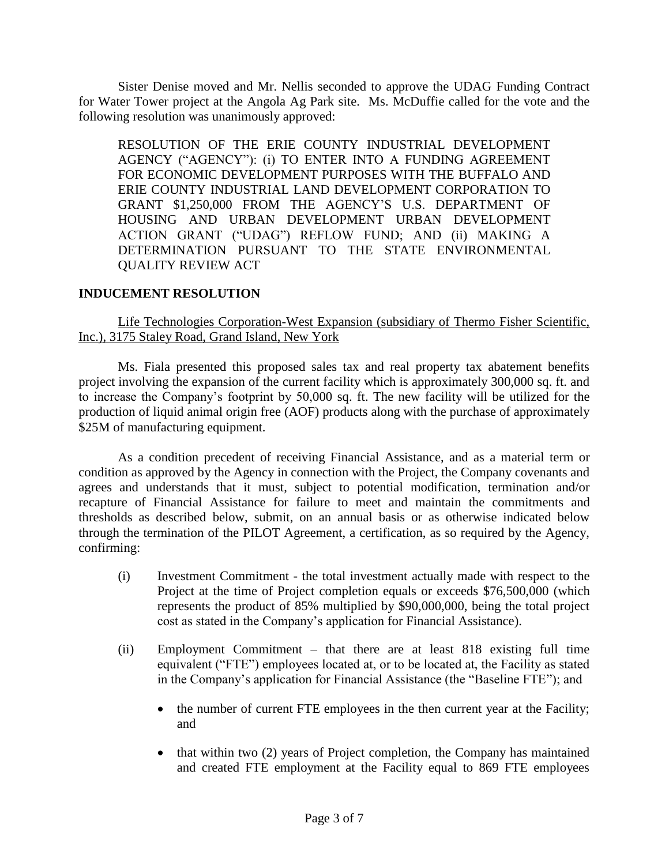Sister Denise moved and Mr. Nellis seconded to approve the UDAG Funding Contract for Water Tower project at the Angola Ag Park site. Ms. McDuffie called for the vote and the following resolution was unanimously approved:

RESOLUTION OF THE ERIE COUNTY INDUSTRIAL DEVELOPMENT AGENCY ("AGENCY"): (i) TO ENTER INTO A FUNDING AGREEMENT FOR ECONOMIC DEVELOPMENT PURPOSES WITH THE BUFFALO AND ERIE COUNTY INDUSTRIAL LAND DEVELOPMENT CORPORATION TO GRANT \$1,250,000 FROM THE AGENCY'S U.S. DEPARTMENT OF HOUSING AND URBAN DEVELOPMENT URBAN DEVELOPMENT ACTION GRANT ("UDAG") REFLOW FUND; AND (ii) MAKING A DETERMINATION PURSUANT TO THE STATE ENVIRONMENTAL QUALITY REVIEW ACT

### **INDUCEMENT RESOLUTION**

Life Technologies Corporation-West Expansion (subsidiary of Thermo Fisher Scientific, Inc.), 3175 Staley Road, Grand Island, New York

Ms. Fiala presented this proposed sales tax and real property tax abatement benefits project involving the expansion of the current facility which is approximately 300,000 sq. ft. and to increase the Company's footprint by 50,000 sq. ft. The new facility will be utilized for the production of liquid animal origin free (AOF) products along with the purchase of approximately \$25M of manufacturing equipment.

As a condition precedent of receiving Financial Assistance, and as a material term or condition as approved by the Agency in connection with the Project, the Company covenants and agrees and understands that it must, subject to potential modification, termination and/or recapture of Financial Assistance for failure to meet and maintain the commitments and thresholds as described below, submit, on an annual basis or as otherwise indicated below through the termination of the PILOT Agreement, a certification, as so required by the Agency, confirming:

- (i) Investment Commitment the total investment actually made with respect to the Project at the time of Project completion equals or exceeds \$76,500,000 (which represents the product of 85% multiplied by \$90,000,000, being the total project cost as stated in the Company's application for Financial Assistance).
- (ii) Employment Commitment that there are at least 818 existing full time equivalent ("FTE") employees located at, or to be located at, the Facility as stated in the Company's application for Financial Assistance (the "Baseline FTE"); and
	- the number of current FTE employees in the then current year at the Facility; and
	- $\bullet$  that within two (2) years of Project completion, the Company has maintained and created FTE employment at the Facility equal to 869 FTE employees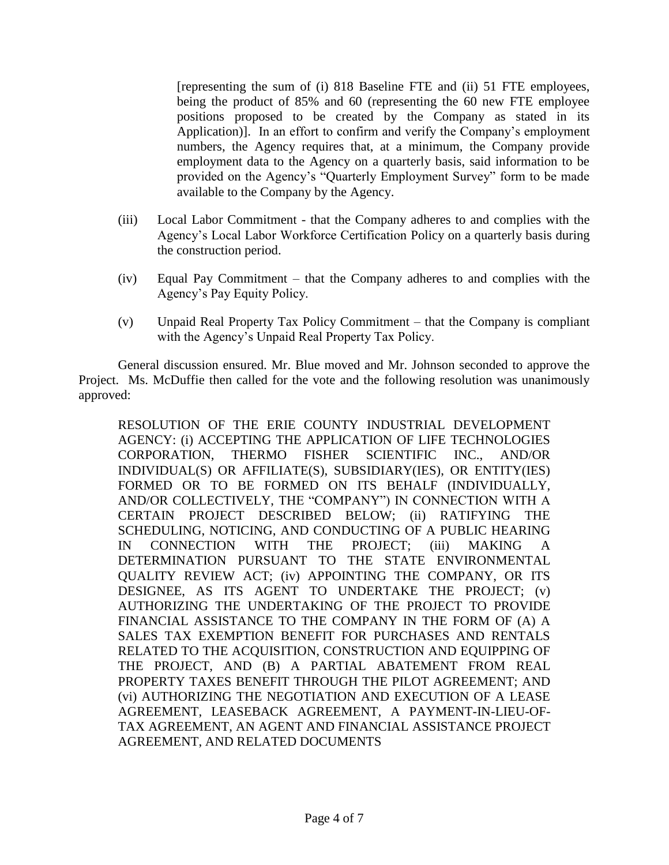[representing the sum of (i) 818 Baseline FTE and (ii) 51 FTE employees, being the product of 85% and 60 (representing the 60 new FTE employee positions proposed to be created by the Company as stated in its Application)]. In an effort to confirm and verify the Company's employment numbers, the Agency requires that, at a minimum, the Company provide employment data to the Agency on a quarterly basis, said information to be provided on the Agency's "Quarterly Employment Survey" form to be made available to the Company by the Agency.

- (iii) Local Labor Commitment that the Company adheres to and complies with the Agency's Local Labor Workforce Certification Policy on a quarterly basis during the construction period.
- (iv) Equal Pay Commitment that the Company adheres to and complies with the Agency's Pay Equity Policy.
- (v) Unpaid Real Property Tax Policy Commitment that the Company is compliant with the Agency's Unpaid Real Property Tax Policy.

General discussion ensured. Mr. Blue moved and Mr. Johnson seconded to approve the Project. Ms. McDuffie then called for the vote and the following resolution was unanimously approved:

RESOLUTION OF THE ERIE COUNTY INDUSTRIAL DEVELOPMENT AGENCY: (i) ACCEPTING THE APPLICATION OF LIFE TECHNOLOGIES CORPORATION, THERMO FISHER SCIENTIFIC INC., AND/OR INDIVIDUAL(S) OR AFFILIATE(S), SUBSIDIARY(IES), OR ENTITY(IES) FORMED OR TO BE FORMED ON ITS BEHALF (INDIVIDUALLY, AND/OR COLLECTIVELY, THE "COMPANY") IN CONNECTION WITH A CERTAIN PROJECT DESCRIBED BELOW; (ii) RATIFYING THE SCHEDULING, NOTICING, AND CONDUCTING OF A PUBLIC HEARING IN CONNECTION WITH THE PROJECT; (iii) MAKING A DETERMINATION PURSUANT TO THE STATE ENVIRONMENTAL QUALITY REVIEW ACT; (iv) APPOINTING THE COMPANY, OR ITS DESIGNEE, AS ITS AGENT TO UNDERTAKE THE PROJECT; (v) AUTHORIZING THE UNDERTAKING OF THE PROJECT TO PROVIDE FINANCIAL ASSISTANCE TO THE COMPANY IN THE FORM OF (A) A SALES TAX EXEMPTION BENEFIT FOR PURCHASES AND RENTALS RELATED TO THE ACQUISITION, CONSTRUCTION AND EQUIPPING OF THE PROJECT, AND (B) A PARTIAL ABATEMENT FROM REAL PROPERTY TAXES BENEFIT THROUGH THE PILOT AGREEMENT; AND (vi) AUTHORIZING THE NEGOTIATION AND EXECUTION OF A LEASE AGREEMENT, LEASEBACK AGREEMENT, A PAYMENT-IN-LIEU-OF-TAX AGREEMENT, AN AGENT AND FINANCIAL ASSISTANCE PROJECT AGREEMENT, AND RELATED DOCUMENTS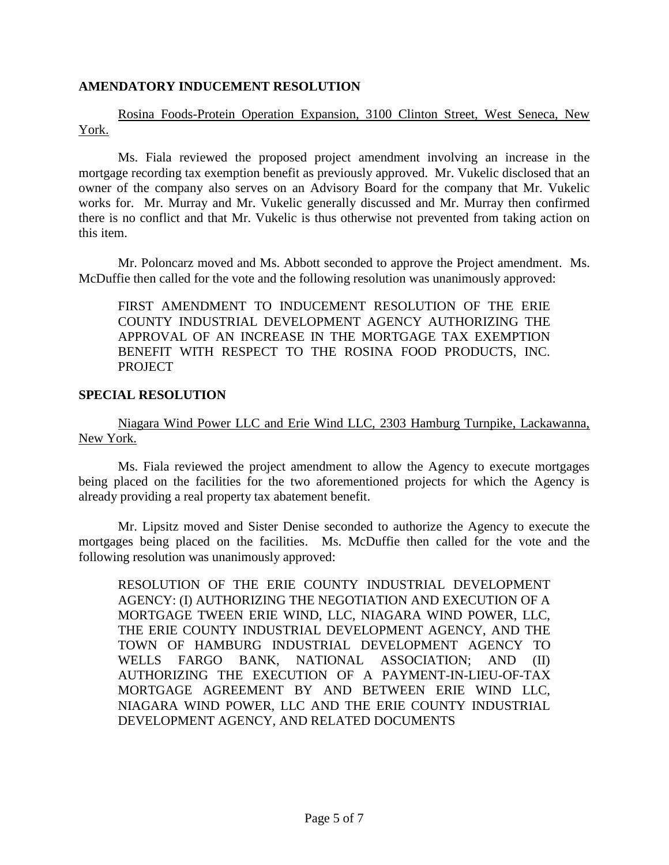## **AMENDATORY INDUCEMENT RESOLUTION**

Rosina Foods-Protein Operation Expansion, 3100 Clinton Street, West Seneca, New York.

Ms. Fiala reviewed the proposed project amendment involving an increase in the mortgage recording tax exemption benefit as previously approved. Mr. Vukelic disclosed that an owner of the company also serves on an Advisory Board for the company that Mr. Vukelic works for. Mr. Murray and Mr. Vukelic generally discussed and Mr. Murray then confirmed there is no conflict and that Mr. Vukelic is thus otherwise not prevented from taking action on this item.

Mr. Poloncarz moved and Ms. Abbott seconded to approve the Project amendment. Ms. McDuffie then called for the vote and the following resolution was unanimously approved:

FIRST AMENDMENT TO INDUCEMENT RESOLUTION OF THE ERIE COUNTY INDUSTRIAL DEVELOPMENT AGENCY AUTHORIZING THE APPROVAL OF AN INCREASE IN THE MORTGAGE TAX EXEMPTION BENEFIT WITH RESPECT TO THE ROSINA FOOD PRODUCTS, INC. **PROJECT** 

#### **SPECIAL RESOLUTION**

Niagara Wind Power LLC and Erie Wind LLC, 2303 Hamburg Turnpike, Lackawanna, New York.

Ms. Fiala reviewed the project amendment to allow the Agency to execute mortgages being placed on the facilities for the two aforementioned projects for which the Agency is already providing a real property tax abatement benefit.

Mr. Lipsitz moved and Sister Denise seconded to authorize the Agency to execute the mortgages being placed on the facilities. Ms. McDuffie then called for the vote and the following resolution was unanimously approved:

RESOLUTION OF THE ERIE COUNTY INDUSTRIAL DEVELOPMENT AGENCY: (I) AUTHORIZING THE NEGOTIATION AND EXECUTION OF A MORTGAGE TWEEN ERIE WIND, LLC, NIAGARA WIND POWER, LLC, THE ERIE COUNTY INDUSTRIAL DEVELOPMENT AGENCY, AND THE TOWN OF HAMBURG INDUSTRIAL DEVELOPMENT AGENCY TO WELLS FARGO BANK, NATIONAL ASSOCIATION; AND (II) AUTHORIZING THE EXECUTION OF A PAYMENT-IN-LIEU-OF-TAX MORTGAGE AGREEMENT BY AND BETWEEN ERIE WIND LLC, NIAGARA WIND POWER, LLC AND THE ERIE COUNTY INDUSTRIAL DEVELOPMENT AGENCY, AND RELATED DOCUMENTS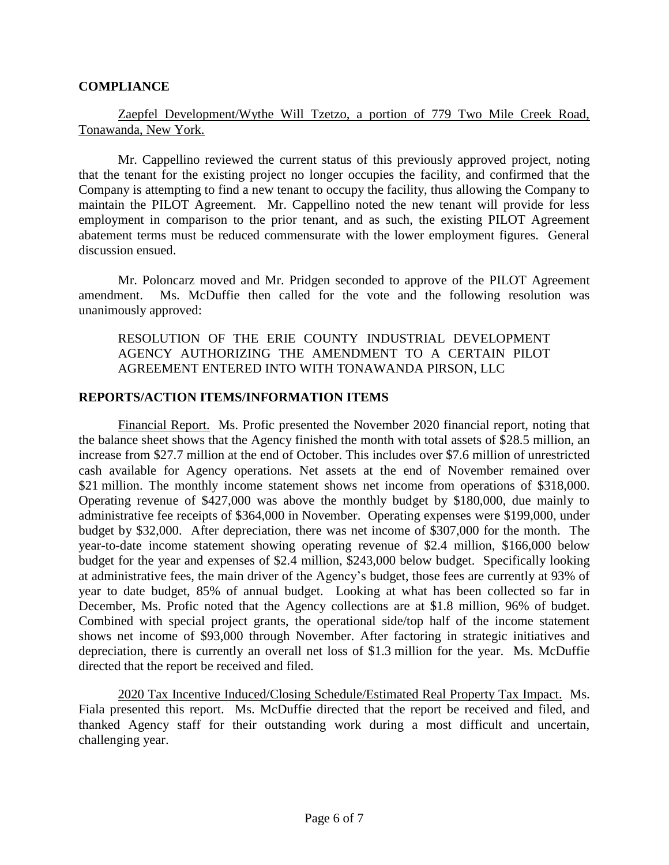## **COMPLIANCE**

## Zaepfel Development/Wythe Will Tzetzo, a portion of 779 Two Mile Creek Road, Tonawanda, New York.

Mr. Cappellino reviewed the current status of this previously approved project, noting that the tenant for the existing project no longer occupies the facility, and confirmed that the Company is attempting to find a new tenant to occupy the facility, thus allowing the Company to maintain the PILOT Agreement. Mr. Cappellino noted the new tenant will provide for less employment in comparison to the prior tenant, and as such, the existing PILOT Agreement abatement terms must be reduced commensurate with the lower employment figures. General discussion ensued.

Mr. Poloncarz moved and Mr. Pridgen seconded to approve of the PILOT Agreement amendment. Ms. McDuffie then called for the vote and the following resolution was unanimously approved:

RESOLUTION OF THE ERIE COUNTY INDUSTRIAL DEVELOPMENT AGENCY AUTHORIZING THE AMENDMENT TO A CERTAIN PILOT AGREEMENT ENTERED INTO WITH TONAWANDA PIRSON, LLC

# **REPORTS/ACTION ITEMS/INFORMATION ITEMS**

Financial Report. Ms. Profic presented the November 2020 financial report, noting that the balance sheet shows that the Agency finished the month with total assets of \$28.5 million, an increase from \$27.7 million at the end of October. This includes over \$7.6 million of unrestricted cash available for Agency operations. Net assets at the end of November remained over \$21 million. The monthly income statement shows net income from operations of \$318,000. Operating revenue of \$427,000 was above the monthly budget by \$180,000, due mainly to administrative fee receipts of \$364,000 in November. Operating expenses were \$199,000, under budget by \$32,000. After depreciation, there was net income of \$307,000 for the month. The year-to-date income statement showing operating revenue of \$2.4 million, \$166,000 below budget for the year and expenses of \$2.4 million, \$243,000 below budget. Specifically looking at administrative fees, the main driver of the Agency's budget, those fees are currently at 93% of year to date budget, 85% of annual budget. Looking at what has been collected so far in December, Ms. Profic noted that the Agency collections are at \$1.8 million, 96% of budget. Combined with special project grants, the operational side/top half of the income statement shows net income of \$93,000 through November. After factoring in strategic initiatives and depreciation, there is currently an overall net loss of \$1.3 million for the year. Ms. McDuffie directed that the report be received and filed.

2020 Tax Incentive Induced/Closing Schedule/Estimated Real Property Tax Impact. Ms. Fiala presented this report. Ms. McDuffie directed that the report be received and filed, and thanked Agency staff for their outstanding work during a most difficult and uncertain, challenging year.